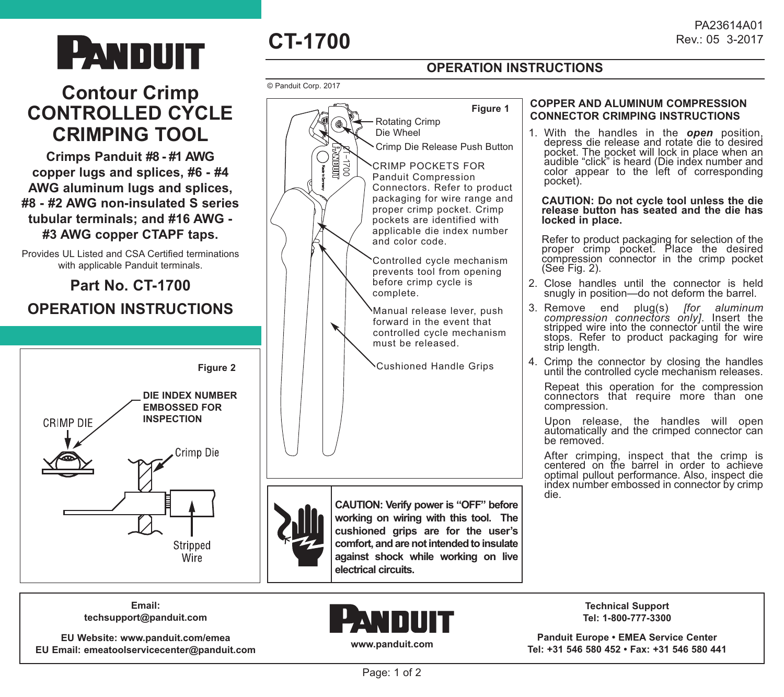# **Contour Crimp CONTROLLED CYCLE CRIMPING TOOL**

**Crimps Panduit #8 - #1 AWG copper lugs and splices, #6 - #4 AWG aluminum lugs and splices, #8 - #2 AWG non-insulated S series tubular terminals; and #16 AWG - #3 AWG copper CTAPF taps.**

Provides UL Listed and CSA Certified terminations with applicable Panduit terminals.

# **Part No. CT-1700 OPERATION INSTRUCTIONS**





## **OPERATION INSTRUCTIONS**

PA23614A01<br>Rev.: 05 3-2017

#### © Panduit Corp. 2017



#### **COPPER AND ALUMINUM COMPRESSION CONNECTOR CRIMPING INSTRUCTIONS**

1. With the handles in the *open* position, depress die release and rotate die to desired pocket. The pocket will lock in place when an audible "click" is heard (Die index number and color appear to the left of corresponding pocket).

#### **CAUTION: Do not cycle tool unless the die release button has seated and the die has locked in place.**

Refer to product packaging for selection of the proper crimp pocket. Place the desired compression connector in the crimp pocket (See Fig. 2).

- 2. Close handles until the connector is held snugly in position—do not deform the barrel.
- 3. Remove end plug(s) *[for aluminum compression connectors only]*. Insert the stripped wire into the connector until the wire stops. Refer to product packaging for wire strip length.
- 4. Crimp the connector by closing the handles until the controlled cycle mechanism releases.

 Repeat this operation for the compression connectors that require more than one compression.

 Upon release, the handles will open automatically and the crimped connector can be removed.

After crimping, inspect that the crimp is centered on the barrel in order to achieve optimal pullout performance. Also, inspect die index number embossed in connector by crimp die.



**working on wiring with this tool. The cushioned grips are for the user's comfort, and are not intended to insulate against shock while working on live electrical circuits.**

**Email: techsupport@panduit.com**

**EU Website: www.panduit.com/emea EU Email: emeatoolservicecenter@panduit.com**



**Technical Support Tel: 1-800-777-3300**

**Panduit Europe • EMEA Service Center Tel: +31 546 580 452 • Fax: +31 546 580 441**